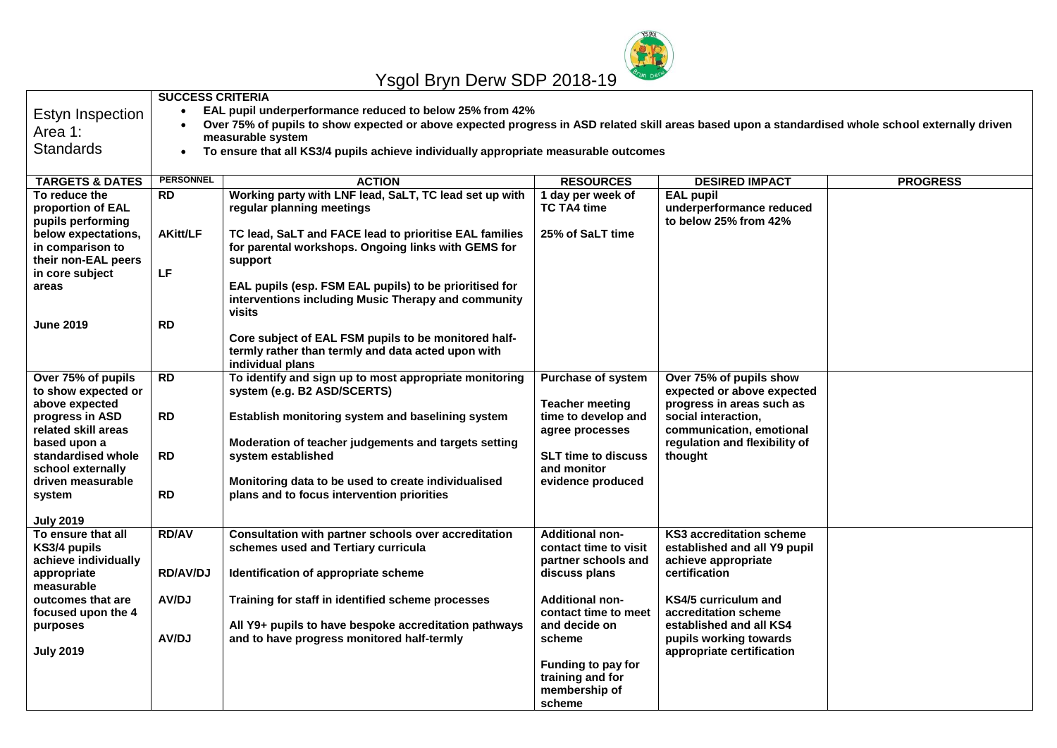

|                            | <b>SUCCESS CRITERIA</b>                                                                                                                            |                                                               |                            |                                 |                 |  |  |  |
|----------------------------|----------------------------------------------------------------------------------------------------------------------------------------------------|---------------------------------------------------------------|----------------------------|---------------------------------|-----------------|--|--|--|
| Estyn Inspection           | EAL pupil underperformance reduced to below 25% from 42%                                                                                           |                                                               |                            |                                 |                 |  |  |  |
| Area 1:                    | Over 75% of pupils to show expected or above expected progress in ASD related skill areas based upon a standardised whole school externally driven |                                                               |                            |                                 |                 |  |  |  |
|                            | measurable system                                                                                                                                  |                                                               |                            |                                 |                 |  |  |  |
| <b>Standards</b>           | To ensure that all KS3/4 pupils achieve individually appropriate measurable outcomes<br>$\bullet$                                                  |                                                               |                            |                                 |                 |  |  |  |
|                            |                                                                                                                                                    |                                                               |                            |                                 |                 |  |  |  |
| <b>TARGETS &amp; DATES</b> | <b>PERSONNEL</b>                                                                                                                                   | <b>ACTION</b>                                                 | <b>RESOURCES</b>           | <b>DESIRED IMPACT</b>           | <b>PROGRESS</b> |  |  |  |
| To reduce the              | <b>RD</b>                                                                                                                                          | Working party with LNF lead, SaLT, TC lead set up with        | 1 day per week of          | <b>EAL pupil</b>                |                 |  |  |  |
| proportion of EAL          |                                                                                                                                                    | regular planning meetings                                     | TC TA4 time                | underperformance reduced        |                 |  |  |  |
| pupils performing          |                                                                                                                                                    |                                                               |                            | to below 25% from 42%           |                 |  |  |  |
| below expectations,        | <b>AKitt/LF</b>                                                                                                                                    | TC lead, SaLT and FACE lead to prioritise EAL families        | 25% of SaLT time           |                                 |                 |  |  |  |
| in comparison to           |                                                                                                                                                    | for parental workshops. Ongoing links with GEMS for           |                            |                                 |                 |  |  |  |
| their non-EAL peers        |                                                                                                                                                    | support                                                       |                            |                                 |                 |  |  |  |
| in core subject            | LF.                                                                                                                                                |                                                               |                            |                                 |                 |  |  |  |
| areas                      |                                                                                                                                                    | EAL pupils (esp. FSM EAL pupils) to be prioritised for        |                            |                                 |                 |  |  |  |
|                            |                                                                                                                                                    | interventions including Music Therapy and community<br>visits |                            |                                 |                 |  |  |  |
| <b>June 2019</b>           | <b>RD</b>                                                                                                                                          |                                                               |                            |                                 |                 |  |  |  |
|                            |                                                                                                                                                    | Core subject of EAL FSM pupils to be monitored half-          |                            |                                 |                 |  |  |  |
|                            |                                                                                                                                                    | termly rather than termly and data acted upon with            |                            |                                 |                 |  |  |  |
|                            |                                                                                                                                                    | individual plans                                              |                            |                                 |                 |  |  |  |
| Over 75% of pupils         | $\overline{RD}$                                                                                                                                    | To identify and sign up to most appropriate monitoring        | <b>Purchase of system</b>  | Over 75% of pupils show         |                 |  |  |  |
| to show expected or        |                                                                                                                                                    | system (e.g. B2 ASD/SCERTS)                                   |                            | expected or above expected      |                 |  |  |  |
| above expected             |                                                                                                                                                    |                                                               | <b>Teacher meeting</b>     | progress in areas such as       |                 |  |  |  |
| progress in ASD            | <b>RD</b>                                                                                                                                          | Establish monitoring system and baselining system             | time to develop and        | social interaction,             |                 |  |  |  |
| related skill areas        |                                                                                                                                                    |                                                               | agree processes            | communication, emotional        |                 |  |  |  |
| based upon a               |                                                                                                                                                    | Moderation of teacher judgements and targets setting          |                            | regulation and flexibility of   |                 |  |  |  |
| standardised whole         | <b>RD</b>                                                                                                                                          | system established                                            | <b>SLT time to discuss</b> | thought                         |                 |  |  |  |
| school externally          |                                                                                                                                                    |                                                               | and monitor                |                                 |                 |  |  |  |
| driven measurable          |                                                                                                                                                    | Monitoring data to be used to create individualised           | evidence produced          |                                 |                 |  |  |  |
| system                     | <b>RD</b>                                                                                                                                          | plans and to focus intervention priorities                    |                            |                                 |                 |  |  |  |
| <b>July 2019</b>           |                                                                                                                                                    |                                                               |                            |                                 |                 |  |  |  |
| To ensure that all         | <b>RD/AV</b>                                                                                                                                       | Consultation with partner schools over accreditation          | <b>Additional non-</b>     | <b>KS3 accreditation scheme</b> |                 |  |  |  |
| KS3/4 pupils               |                                                                                                                                                    | schemes used and Tertiary curricula                           | contact time to visit      | established and all Y9 pupil    |                 |  |  |  |
| achieve individually       |                                                                                                                                                    |                                                               | partner schools and        | achieve appropriate             |                 |  |  |  |
| appropriate                | RD/AV/DJ                                                                                                                                           | Identification of appropriate scheme                          | discuss plans              | certification                   |                 |  |  |  |
| measurable                 |                                                                                                                                                    |                                                               |                            |                                 |                 |  |  |  |
| outcomes that are          | AV/DJ                                                                                                                                              | Training for staff in identified scheme processes             | <b>Additional non-</b>     | KS4/5 curriculum and            |                 |  |  |  |
| focused upon the 4         |                                                                                                                                                    |                                                               | contact time to meet       | accreditation scheme            |                 |  |  |  |
| purposes                   |                                                                                                                                                    | All Y9+ pupils to have bespoke accreditation pathways         | and decide on              | established and all KS4         |                 |  |  |  |
|                            | AV/DJ                                                                                                                                              | and to have progress monitored half-termly                    | scheme                     | pupils working towards          |                 |  |  |  |
| <b>July 2019</b>           |                                                                                                                                                    |                                                               |                            | appropriate certification       |                 |  |  |  |
|                            |                                                                                                                                                    |                                                               | Funding to pay for         |                                 |                 |  |  |  |
|                            |                                                                                                                                                    |                                                               | training and for           |                                 |                 |  |  |  |
|                            |                                                                                                                                                    |                                                               | membership of              |                                 |                 |  |  |  |
|                            |                                                                                                                                                    |                                                               | scheme                     |                                 |                 |  |  |  |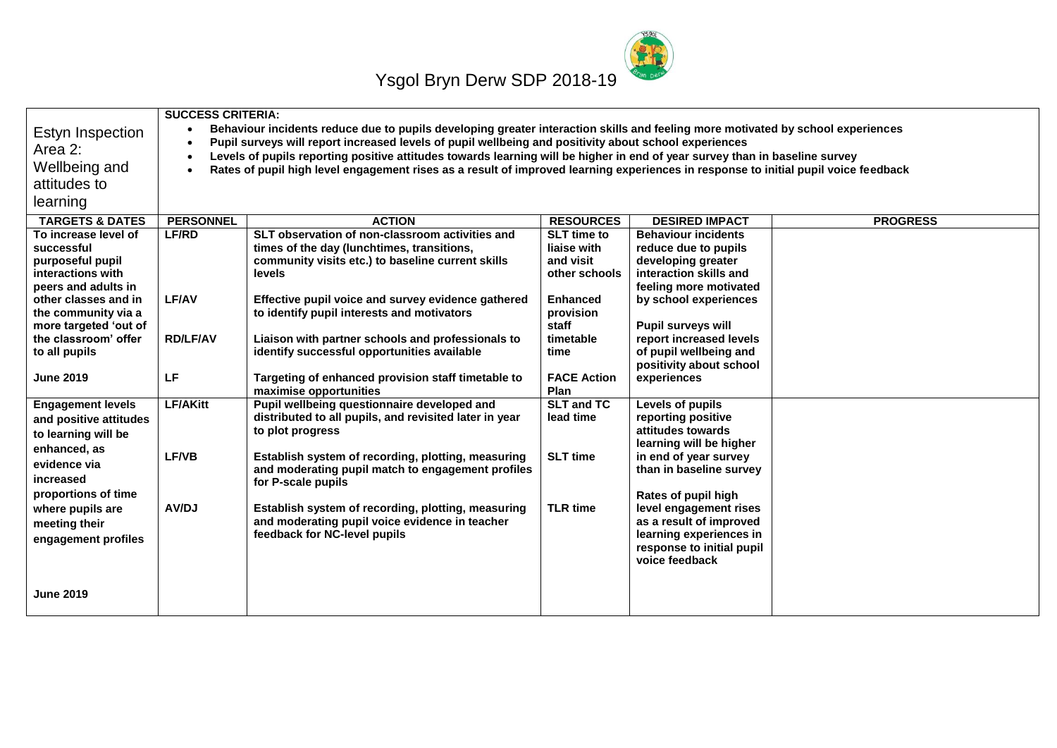

|                                               | <b>SUCCESS CRITERIA:</b>                                                                                                                                                                                                                 |                                                                                                                                     |                    |                                                   |                 |  |  |
|-----------------------------------------------|------------------------------------------------------------------------------------------------------------------------------------------------------------------------------------------------------------------------------------------|-------------------------------------------------------------------------------------------------------------------------------------|--------------------|---------------------------------------------------|-----------------|--|--|
| Estyn Inspection<br>Area 2:                   | Behaviour incidents reduce due to pupils developing greater interaction skills and feeling more motivated by school experiences<br>Pupil surveys will report increased levels of pupil wellbeing and positivity about school experiences |                                                                                                                                     |                    |                                                   |                 |  |  |
|                                               |                                                                                                                                                                                                                                          | Levels of pupils reporting positive attitudes towards learning will be higher in end of year survey than in baseline survey         |                    |                                                   |                 |  |  |
| Wellbeing and                                 |                                                                                                                                                                                                                                          | Rates of pupil high level engagement rises as a result of improved learning experiences in response to initial pupil voice feedback |                    |                                                   |                 |  |  |
| attitudes to                                  |                                                                                                                                                                                                                                          |                                                                                                                                     |                    |                                                   |                 |  |  |
| learning                                      |                                                                                                                                                                                                                                          |                                                                                                                                     |                    |                                                   |                 |  |  |
| <b>TARGETS &amp; DATES</b>                    | <b>PERSONNEL</b>                                                                                                                                                                                                                         | <b>ACTION</b>                                                                                                                       | <b>RESOURCES</b>   | <b>DESIRED IMPACT</b>                             | <b>PROGRESS</b> |  |  |
| To increase level of                          | <b>LF/RD</b>                                                                                                                                                                                                                             | SLT observation of non-classroom activities and                                                                                     | <b>SLT</b> time to | <b>Behaviour incidents</b>                        |                 |  |  |
| successful                                    |                                                                                                                                                                                                                                          | times of the day (lunchtimes, transitions,                                                                                          | liaise with        | reduce due to pupils                              |                 |  |  |
| purposeful pupil                              |                                                                                                                                                                                                                                          | community visits etc.) to baseline current skills                                                                                   | and visit          | developing greater                                |                 |  |  |
| interactions with                             |                                                                                                                                                                                                                                          | levels                                                                                                                              | other schools      | interaction skills and                            |                 |  |  |
| peers and adults in                           |                                                                                                                                                                                                                                          |                                                                                                                                     |                    | feeling more motivated                            |                 |  |  |
| other classes and in                          | <b>LF/AV</b>                                                                                                                                                                                                                             | Effective pupil voice and survey evidence gathered                                                                                  | <b>Enhanced</b>    | by school experiences                             |                 |  |  |
| the community via a                           |                                                                                                                                                                                                                                          | to identify pupil interests and motivators                                                                                          | provision          |                                                   |                 |  |  |
| more targeted 'out of<br>the classroom' offer |                                                                                                                                                                                                                                          |                                                                                                                                     | staff              | Pupil surveys will                                |                 |  |  |
|                                               | <b>RD/LF/AV</b>                                                                                                                                                                                                                          | Liaison with partner schools and professionals to                                                                                   | timetable          | report increased levels                           |                 |  |  |
| to all pupils                                 |                                                                                                                                                                                                                                          | identify successful opportunities available                                                                                         | time               | of pupil wellbeing and<br>positivity about school |                 |  |  |
| <b>June 2019</b>                              | LF                                                                                                                                                                                                                                       | Targeting of enhanced provision staff timetable to                                                                                  | <b>FACE Action</b> | experiences                                       |                 |  |  |
|                                               |                                                                                                                                                                                                                                          | maximise opportunities                                                                                                              | Plan               |                                                   |                 |  |  |
| <b>Engagement levels</b>                      | <b>LF/AKitt</b>                                                                                                                                                                                                                          | Pupil wellbeing questionnaire developed and                                                                                         | <b>SLT and TC</b>  | Levels of pupils                                  |                 |  |  |
| and positive attitudes                        |                                                                                                                                                                                                                                          | distributed to all pupils, and revisited later in year                                                                              | lead time          | reporting positive                                |                 |  |  |
|                                               |                                                                                                                                                                                                                                          | to plot progress                                                                                                                    |                    | attitudes towards                                 |                 |  |  |
| to learning will be                           |                                                                                                                                                                                                                                          |                                                                                                                                     |                    | learning will be higher                           |                 |  |  |
| enhanced, as                                  | LF/VB                                                                                                                                                                                                                                    | Establish system of recording, plotting, measuring                                                                                  | <b>SLT time</b>    | in end of year survey                             |                 |  |  |
| evidence via                                  |                                                                                                                                                                                                                                          | and moderating pupil match to engagement profiles                                                                                   |                    | than in baseline survey                           |                 |  |  |
| increased                                     |                                                                                                                                                                                                                                          | for P-scale pupils                                                                                                                  |                    |                                                   |                 |  |  |
| proportions of time                           |                                                                                                                                                                                                                                          |                                                                                                                                     |                    | Rates of pupil high                               |                 |  |  |
| where pupils are                              | AV/DJ                                                                                                                                                                                                                                    | Establish system of recording, plotting, measuring                                                                                  | <b>TLR time</b>    | level engagement rises                            |                 |  |  |
| meeting their                                 |                                                                                                                                                                                                                                          | and moderating pupil voice evidence in teacher                                                                                      |                    | as a result of improved                           |                 |  |  |
| engagement profiles                           |                                                                                                                                                                                                                                          | feedback for NC-level pupils                                                                                                        |                    | learning experiences in                           |                 |  |  |
|                                               |                                                                                                                                                                                                                                          |                                                                                                                                     |                    | response to initial pupil                         |                 |  |  |
|                                               |                                                                                                                                                                                                                                          |                                                                                                                                     |                    | voice feedback                                    |                 |  |  |
|                                               |                                                                                                                                                                                                                                          |                                                                                                                                     |                    |                                                   |                 |  |  |
| <b>June 2019</b>                              |                                                                                                                                                                                                                                          |                                                                                                                                     |                    |                                                   |                 |  |  |
|                                               |                                                                                                                                                                                                                                          |                                                                                                                                     |                    |                                                   |                 |  |  |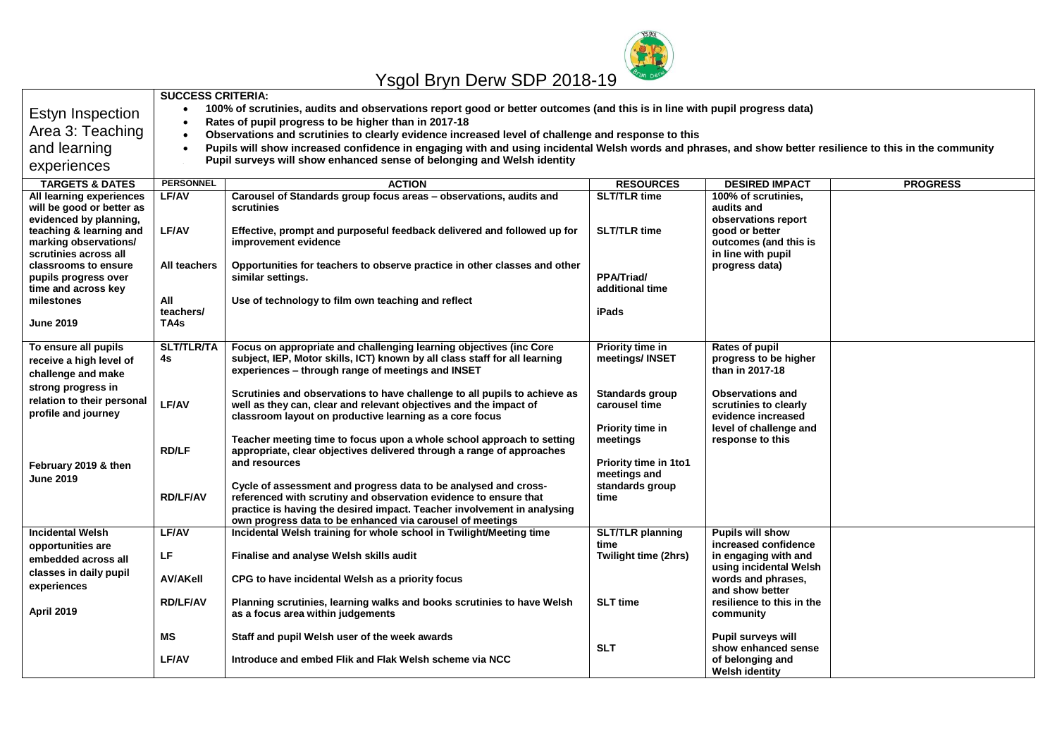

|                                                                                                                                                                                      | <b>SUCCESS CRITERIA:</b>                                                                                                               |                                                                                                                                                                                                                                                                             |                                                             |                                                                                                                                             |                 |  |  |  |
|--------------------------------------------------------------------------------------------------------------------------------------------------------------------------------------|----------------------------------------------------------------------------------------------------------------------------------------|-----------------------------------------------------------------------------------------------------------------------------------------------------------------------------------------------------------------------------------------------------------------------------|-------------------------------------------------------------|---------------------------------------------------------------------------------------------------------------------------------------------|-----------------|--|--|--|
| Estyn Inspection                                                                                                                                                                     | 100% of scrutinies, audits and observations report good or better outcomes (and this is in line with pupil progress data)<br>$\bullet$ |                                                                                                                                                                                                                                                                             |                                                             |                                                                                                                                             |                 |  |  |  |
| Area 3: Teaching                                                                                                                                                                     |                                                                                                                                        | Rates of pupil progress to be higher than in 2017-18                                                                                                                                                                                                                        |                                                             |                                                                                                                                             |                 |  |  |  |
|                                                                                                                                                                                      | $\bullet$                                                                                                                              | Observations and scrutinies to clearly evidence increased level of challenge and response to this                                                                                                                                                                           |                                                             |                                                                                                                                             |                 |  |  |  |
| and learning                                                                                                                                                                         | $\bullet$                                                                                                                              | Pupils will show increased confidence in engaging with and using incidental Welsh words and phrases, and show better resilience to this in the community                                                                                                                    |                                                             |                                                                                                                                             |                 |  |  |  |
| experiences                                                                                                                                                                          | Pupil surveys will show enhanced sense of belonging and Welsh identity                                                                 |                                                                                                                                                                                                                                                                             |                                                             |                                                                                                                                             |                 |  |  |  |
| <b>TARGETS &amp; DATES</b>                                                                                                                                                           | <b>PERSONNEL</b>                                                                                                                       | <b>ACTION</b>                                                                                                                                                                                                                                                               | <b>RESOURCES</b>                                            | <b>DESIRED IMPACT</b>                                                                                                                       | <b>PROGRESS</b> |  |  |  |
| All learning experiences<br>will be good or better as<br>evidenced by planning,<br>teaching & learning and<br>marking observations/<br>scrutinies across all<br>classrooms to ensure | <b>LF/AV</b><br><b>LF/AV</b><br>All teachers                                                                                           | Carousel of Standards group focus areas - observations, audits and<br>scrutinies<br>Effective, prompt and purposeful feedback delivered and followed up for<br>improvement evidence<br>Opportunities for teachers to observe practice in other classes and other            | <b>SLT/TLR time</b><br><b>SLT/TLR time</b>                  | 100% of scrutinies,<br>audits and<br>observations report<br>good or better<br>outcomes (and this is<br>in line with pupil<br>progress data) |                 |  |  |  |
| pupils progress over<br>time and across key                                                                                                                                          |                                                                                                                                        | similar settings.                                                                                                                                                                                                                                                           | <b>PPA/Triad/</b><br>additional time                        |                                                                                                                                             |                 |  |  |  |
| milestones<br><b>June 2019</b>                                                                                                                                                       | All<br>teachers/<br>TA4s                                                                                                               | Use of technology to film own teaching and reflect                                                                                                                                                                                                                          | iPads                                                       |                                                                                                                                             |                 |  |  |  |
| To ensure all pupils<br>receive a high level of<br>challenge and make                                                                                                                | <b>SLT/TLR/TA</b><br>4s                                                                                                                | Focus on appropriate and challenging learning objectives (inc Core<br>subject, IEP, Motor skills, ICT) known by all class staff for all learning<br>experiences - through range of meetings and INSET                                                                       | <b>Priority time in</b><br>meetings/INSET                   | Rates of pupil<br>progress to be higher<br>than in 2017-18                                                                                  |                 |  |  |  |
| strong progress in<br>relation to their personal<br>profile and journey                                                                                                              | LF/AV                                                                                                                                  | Scrutinies and observations to have challenge to all pupils to achieve as<br>well as they can, clear and relevant objectives and the impact of<br>classroom layout on productive learning as a core focus                                                                   | <b>Standards group</b><br>carousel time<br>Priority time in | <b>Observations and</b><br>scrutinies to clearly<br>evidence increased<br>level of challenge and                                            |                 |  |  |  |
| February 2019 & then<br><b>June 2019</b>                                                                                                                                             | <b>RD/LF</b>                                                                                                                           | Teacher meeting time to focus upon a whole school approach to setting<br>appropriate, clear objectives delivered through a range of approaches<br>and resources                                                                                                             | meetings<br>Priority time in 1to1<br>meetings and           | response to this                                                                                                                            |                 |  |  |  |
|                                                                                                                                                                                      | RD/LF/AV                                                                                                                               | Cycle of assessment and progress data to be analysed and cross-<br>referenced with scrutiny and observation evidence to ensure that<br>practice is having the desired impact. Teacher involvement in analysing<br>own progress data to be enhanced via carousel of meetings | standards group<br>time                                     |                                                                                                                                             |                 |  |  |  |
| <b>Incidental Welsh</b><br>opportunities are                                                                                                                                         | LF/AV                                                                                                                                  | Incidental Welsh training for whole school in Twilight/Meeting time                                                                                                                                                                                                         | <b>SLT/TLR planning</b><br>time                             | <b>Pupils will show</b><br>increased confidence                                                                                             |                 |  |  |  |
| embedded across all                                                                                                                                                                  | LF                                                                                                                                     | Finalise and analyse Welsh skills audit                                                                                                                                                                                                                                     | <b>Twilight time (2hrs)</b>                                 | in engaging with and<br>using incidental Welsh                                                                                              |                 |  |  |  |
| classes in daily pupil<br>experiences                                                                                                                                                | <b>AV/AKell</b>                                                                                                                        | CPG to have incidental Welsh as a priority focus                                                                                                                                                                                                                            |                                                             | words and phrases,<br>and show better                                                                                                       |                 |  |  |  |
| <b>April 2019</b>                                                                                                                                                                    | <b>RD/LF/AV</b>                                                                                                                        | Planning scrutinies, learning walks and books scrutinies to have Welsh<br>as a focus area within judgements                                                                                                                                                                 | <b>SLT time</b>                                             | resilience to this in the<br>community                                                                                                      |                 |  |  |  |
|                                                                                                                                                                                      | ΜS                                                                                                                                     | Staff and pupil Welsh user of the week awards                                                                                                                                                                                                                               | <b>SLT</b>                                                  | <b>Pupil surveys will</b><br>show enhanced sense                                                                                            |                 |  |  |  |
|                                                                                                                                                                                      | <b>LF/AV</b>                                                                                                                           | Introduce and embed Flik and Flak Welsh scheme via NCC                                                                                                                                                                                                                      |                                                             | of belonging and<br><b>Welsh identity</b>                                                                                                   |                 |  |  |  |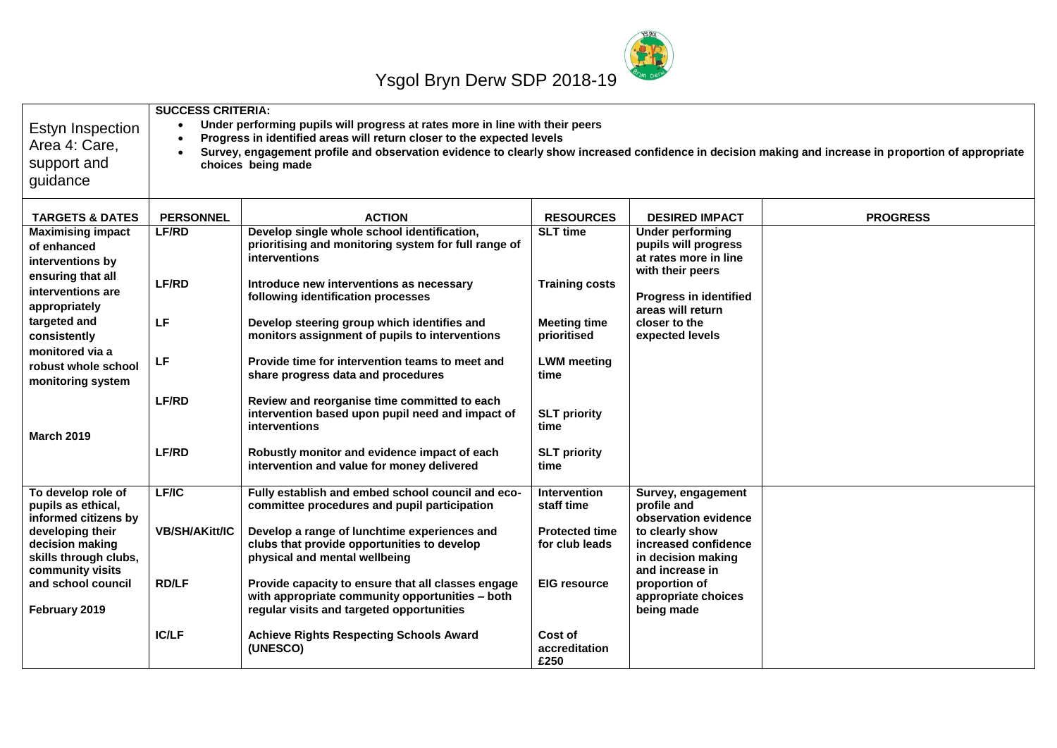

| Estyn Inspection<br>Area 4: Care,<br>support and<br>quidance                     | <b>SUCCESS CRITERIA:</b> | Under performing pupils will progress at rates more in line with their peers<br>Progress in identified areas will return closer to the expected levels<br>Survey, engagement profile and observation evidence to clearly show increased confidence in decision making and increase in proportion of appropriate<br>choices being made |                                         |                                                                                              |                 |
|----------------------------------------------------------------------------------|--------------------------|---------------------------------------------------------------------------------------------------------------------------------------------------------------------------------------------------------------------------------------------------------------------------------------------------------------------------------------|-----------------------------------------|----------------------------------------------------------------------------------------------|-----------------|
| <b>TARGETS &amp; DATES</b>                                                       | <b>PERSONNEL</b>         | <b>ACTION</b>                                                                                                                                                                                                                                                                                                                         | <b>RESOURCES</b>                        | <b>DESIRED IMPACT</b>                                                                        | <b>PROGRESS</b> |
| <b>Maximising impact</b><br>of enhanced<br>interventions by                      | <b>LF/RD</b>             | Develop single whole school identification,<br>prioritising and monitoring system for full range of<br><b>interventions</b>                                                                                                                                                                                                           | <b>SLT time</b>                         | <b>Under performing</b><br>pupils will progress<br>at rates more in line<br>with their peers |                 |
| ensuring that all<br>interventions are<br>appropriately                          | <b>LF/RD</b>             | Introduce new interventions as necessary<br>following identification processes                                                                                                                                                                                                                                                        | <b>Training costs</b>                   | <b>Progress in identified</b><br>areas will return                                           |                 |
| targeted and<br>consistently<br>monitored via a                                  | LF                       | Develop steering group which identifies and<br>monitors assignment of pupils to interventions                                                                                                                                                                                                                                         | <b>Meeting time</b><br>prioritised      | closer to the<br>expected levels                                                             |                 |
| robust whole school<br>monitoring system                                         | LF                       | Provide time for intervention teams to meet and<br>share progress data and procedures                                                                                                                                                                                                                                                 | <b>LWM</b> meeting<br>time              |                                                                                              |                 |
| <b>March 2019</b>                                                                | <b>LF/RD</b>             | Review and reorganise time committed to each<br>intervention based upon pupil need and impact of<br><b>interventions</b>                                                                                                                                                                                                              | <b>SLT priority</b><br>time             |                                                                                              |                 |
|                                                                                  | <b>LF/RD</b>             | Robustly monitor and evidence impact of each<br>intervention and value for money delivered                                                                                                                                                                                                                                            | <b>SLT priority</b><br>time             |                                                                                              |                 |
| To develop role of<br>pupils as ethical,<br>informed citizens by                 | <b>LF/IC</b>             | Fully establish and embed school council and eco-<br>committee procedures and pupil participation                                                                                                                                                                                                                                     | <b>Intervention</b><br>staff time       | Survey, engagement<br>profile and<br>observation evidence                                    |                 |
| developing their<br>decision making<br>skills through clubs,<br>community visits | <b>VB/SH/AKitt/IC</b>    | Develop a range of lunchtime experiences and<br>clubs that provide opportunities to develop<br>physical and mental wellbeing                                                                                                                                                                                                          | <b>Protected time</b><br>for club leads | to clearly show<br>increased confidence<br>in decision making<br>and increase in             |                 |
| and school council<br>February 2019                                              | <b>RD/LF</b>             | Provide capacity to ensure that all classes engage<br>with appropriate community opportunities - both<br>regular visits and targeted opportunities                                                                                                                                                                                    | <b>EIG resource</b>                     | proportion of<br>appropriate choices<br>being made                                           |                 |
|                                                                                  | <b>IC/LF</b>             | <b>Achieve Rights Respecting Schools Award</b><br>(UNESCO)                                                                                                                                                                                                                                                                            | Cost of<br>accreditation<br>£250        |                                                                                              |                 |